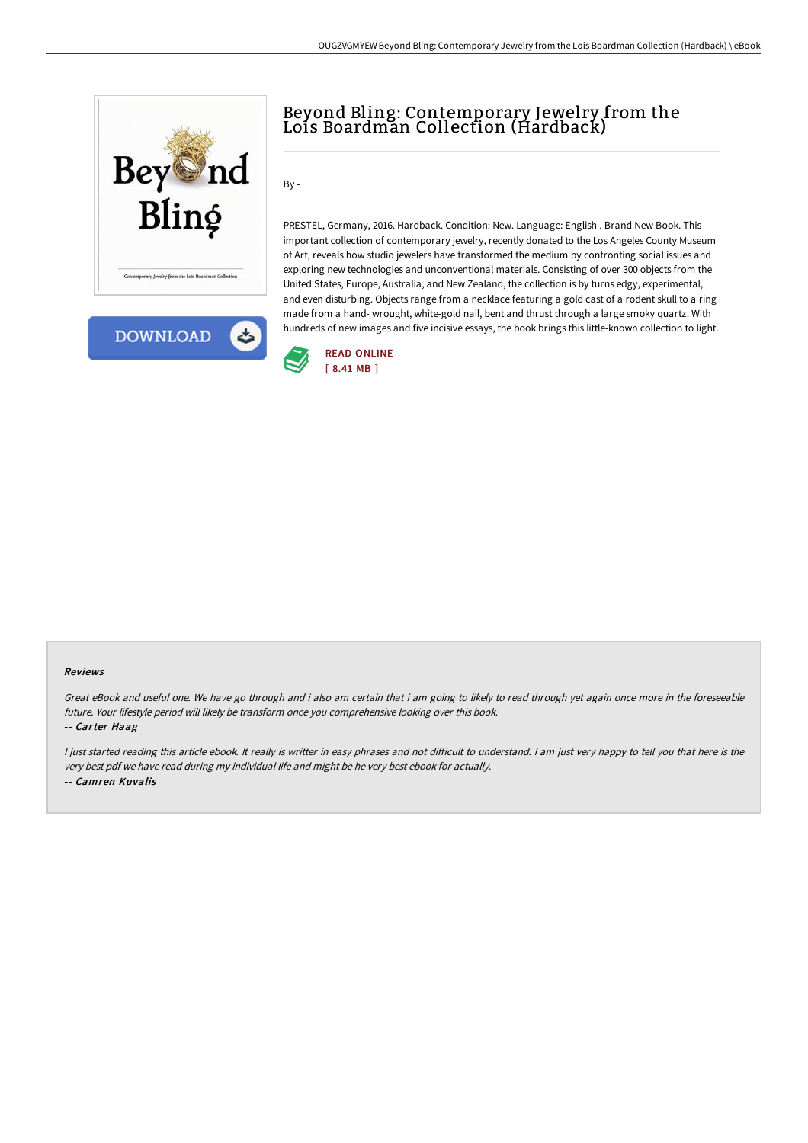



## Beyond Bling: Contemporary Jewel ry from the Lois Boardman Collection (Hardback)

By -

PRESTEL, Germany, 2016. Hardback. Condition: New. Language: English . Brand New Book. This important collection of contemporary jewelry, recently donated to the Los Angeles County Museum of Art, reveals how studio jewelers have transformed the medium by confronting social issues and exploring new technologies and unconventional materials. Consisting of over 300 objects from the United States, Europe, Australia, and New Zealand, the collection is by turns edgy, experimental, and even disturbing. Objects range from a necklace featuring a gold cast of a rodent skull to a ring made from a hand- wrought, white-gold nail, bent and thrust through a large smoky quartz. With hundreds of new images and five incisive essays, the book brings this little-known collection to light.



## Reviews

Great eBook and useful one. We have go through and i also am certain that i am going to likely to read through yet again once more in the foreseeable future. Your lifestyle period will likely be transform once you comprehensive looking over this book.

## -- Carter Haag

I just started reading this article ebook. It really is writter in easy phrases and not difficult to understand. I am just very happy to tell you that here is the very best pdf we have read during my individual life and might be he very best ebook for actually. -- Camren Kuvalis